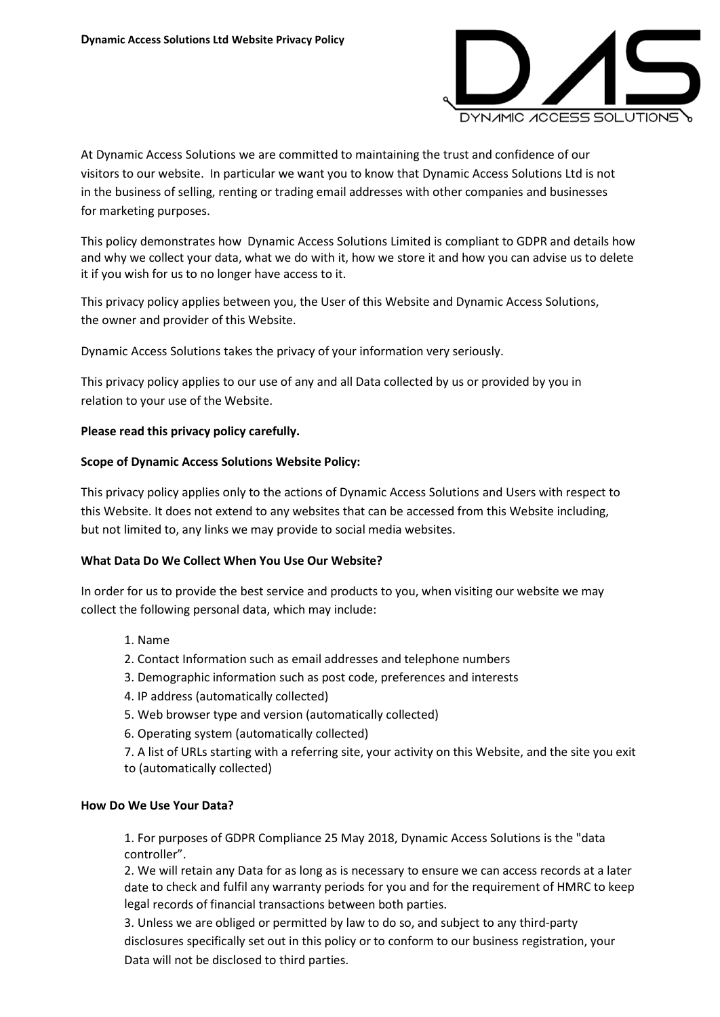

At Dynamic Access Solutions we are committed to maintaining the trust and confidence of our visitors to our website. In particular we want you to know that Dynamic Access Solutions Ltd is not in the business of selling, renting or trading email addresses with other companies and businesses for marketing purposes.

This policy demonstrates how Dynamic Access Solutions Limited is compliant to GDPR and details how and why we collect your data, what we do with it, how we store it and how you can advise us to delete it if you wish for us to no longer have access to it.

This privacy policy applies between you, the User of this Website and Dynamic Access Solutions, the owner and provider of this Website.

Dynamic Access Solutions takes the privacy of your information very seriously.

This privacy policy applies to our use of any and all Data collected by us or provided by you in relation to your use of the Website.

## **Please read this privacy policy carefully.**

## **Scope of Dynamic Access Solutions Website Policy:**

This privacy policy applies only to the actions of Dynamic Access Solutions and Users with respect to this Website. It does not extend to any websites that can be accessed from this Website including, but not limited to, any links we may provide to social media websites.

#### **What Data Do We Collect When You Use Our Website?**

In order for us to provide the best service and products to you, when visiting our website we may collect the following personal data, which may include:

- 1. Name
- 2. Contact Information such as email addresses and telephone numbers
- 3. Demographic information such as post code, preferences and interests
- 4. IP address (automatically collected)
- 5. Web browser type and version (automatically collected)
- 6. Operating system (automatically collected)
- 7. A list of URLs starting with a referring site, your activity on this Website, and the site you exit to (automatically collected)

#### **How Do We Use Your Data?**

1. For purposes of GDPR Compliance 25 May 2018, Dynamic Access Solutions is the "data controller".

2. We will retain any Data for as long as is necessary to ensure we can access records at a later date to check and fulfil any warranty periods for you and for the requirement of HMRC to keep legal records of financial transactions between both parties.

3. Unless we are obliged or permitted by law to do so, and subject to any third-party disclosures specifically set out in this policy or to conform to our business registration, your Data will not be disclosed to third parties.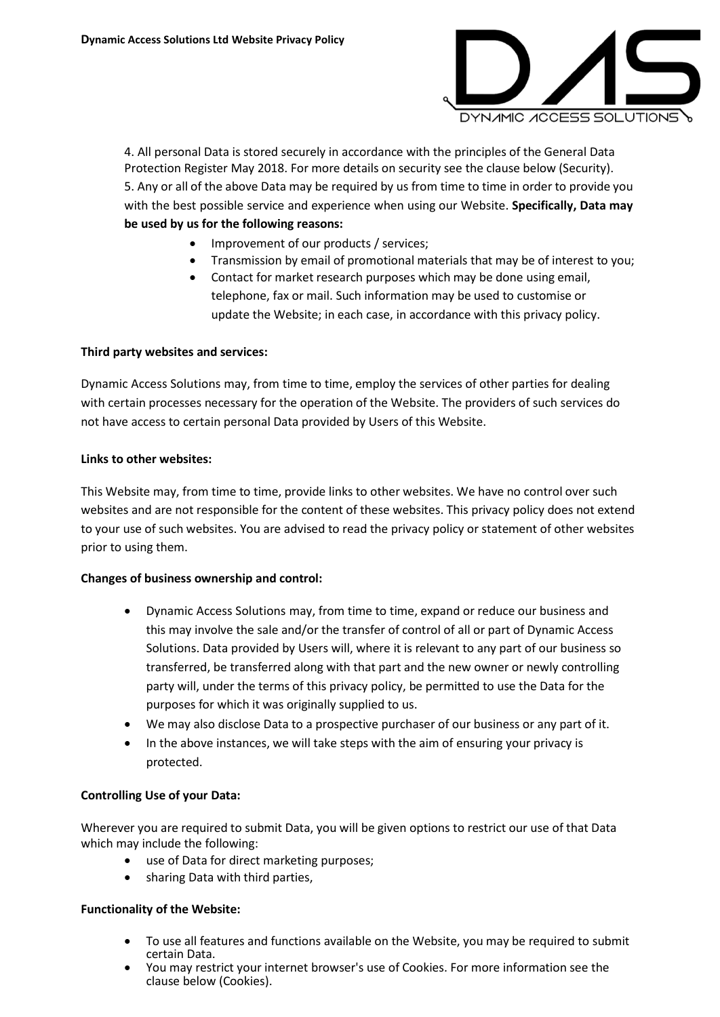

4. All personal Data is stored securely in accordance with the principles of the General Data Protection Register May 2018. For more details on security see the clause below (Security). 5. Any or all of the above Data may be required by us from time to time in order to provide you with the best possible service and experience when using our Website. **Specifically, Data may be used by us for the following reasons:**

- Improvement of our products / services;
- Transmission by email of promotional materials that may be of interest to you;
- Contact for market research purposes which may be done using email, telephone, fax or mail. Such information may be used to customise or update the Website; in each case, in accordance with this privacy policy.

## **Third party websites and services:**

Dynamic Access Solutions may, from time to time, employ the services of other parties for dealing with certain processes necessary for the operation of the Website. The providers of such services do not have access to certain personal Data provided by Users of this Website.

#### **Links to other websites:**

This Website may, from time to time, provide links to other websites. We have no control over such websites and are not responsible for the content of these websites. This privacy policy does not extend to your use of such websites. You are advised to read the privacy policy or statement of other websites prior to using them.

#### **Changes of business ownership and control:**

- Dynamic Access Solutions may, from time to time, expand or reduce our business and this may involve the sale and/or the transfer of control of all or part of Dynamic Access Solutions. Data provided by Users will, where it is relevant to any part of our business so transferred, be transferred along with that part and the new owner or newly controlling party will, under the terms of this privacy policy, be permitted to use the Data for the purposes for which it was originally supplied to us.
- We may also disclose Data to a prospective purchaser of our business or any part of it.
- In the above instances, we will take steps with the aim of ensuring your privacy is protected.

#### **Controlling Use of your Data:**

Wherever you are required to submit Data, you will be given options to restrict our use of that Data which may include the following:

- use of Data for direct marketing purposes;
- sharing Data with third parties,

#### **Functionality of the Website:**

- To use all features and functions available on the Website, you may be required to submit certain Data.
- You may restrict your internet browser's use of Cookies. For more information see the clause below (Cookies).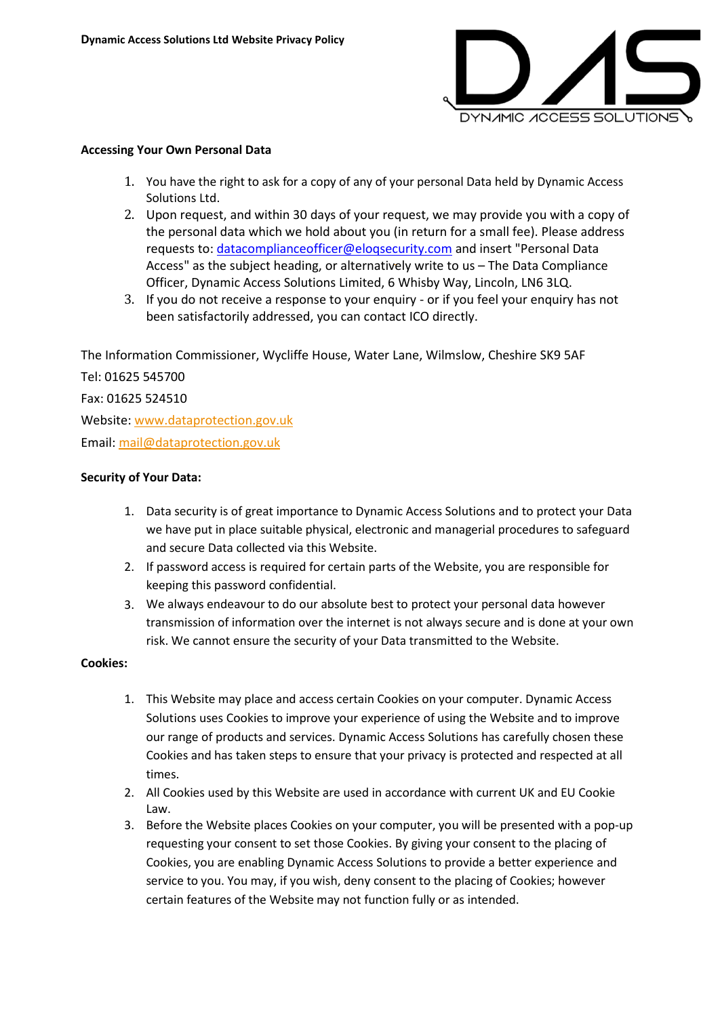

#### **Accessing Your Own Personal Data**

- 1. You have the right to ask for a copy of any of your personal Data held by Dynamic Access Solutions Ltd.
- 2. Upon request, and within 30 days of your request, we may provide you with a copy of the personal data which we hold about you (in return for a small fee). Please address requests to: [datacomplianceofficer@eloqsecurity.com](mailto:datacomplianceofficer@eloqsecurity.com) and insert "Personal Data Access" as the subject heading, or alternatively write to us – The Data Compliance Officer, Dynamic Access Solutions Limited, 6 Whisby Way, Lincoln, LN6 3LQ.
- 3. If you do not receive a response to your enquiry or if you feel your enquiry has not been satisfactorily addressed, you can contact ICO directly.

The Information Commissioner, Wycliffe House, Water Lane, Wilmslow, Cheshire SK9 5AF

Tel: 01625 545700 Fax: 01625 524510 Website: [www.dataprotection.gov.uk](http://www.dataprotection.gov.uk/) Email: [mail@dataprotection.gov.uk](mailto:mail@dataprotection.gov.uk)

## **Security of Your Data:**

- 1. Data security is of great importance to Dynamic Access Solutions and to protect your Data we have put in place suitable physical, electronic and managerial procedures to safeguard and secure Data collected via this Website.
- 2. If password access is required for certain parts of the Website, you are responsible for keeping this password confidential.
- 3. We always endeavour to do our absolute best to protect your personal data however transmission of information over the internet is not always secure and is done at your own risk. We cannot ensure the security of your Data transmitted to the Website.

#### **Cookies:**

- 1. This Website may place and access certain Cookies on your computer. Dynamic Access Solutions uses Cookies to improve your experience of using the Website and to improve our range of products and services. Dynamic Access Solutions has carefully chosen these Cookies and has taken steps to ensure that your privacy is protected and respected at all times.
- 2. All Cookies used by this Website are used in accordance with current UK and EU Cookie Law.
- 3. Before the Website places Cookies on your computer, you will be presented with a pop-up requesting your consent to set those Cookies. By giving your consent to the placing of Cookies, you are enabling Dynamic Access Solutions to provide a better experience and service to you. You may, if you wish, deny consent to the placing of Cookies; however certain features of the Website may not function fully or as intended.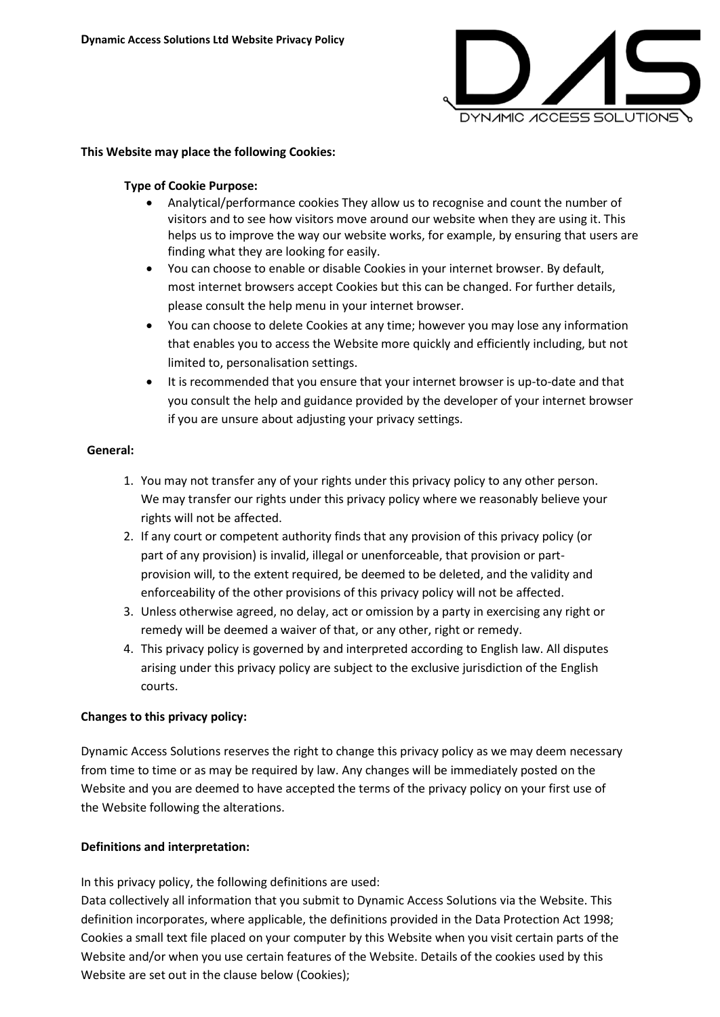

## **This Website may place the following Cookies:**

## **Type of Cookie Purpose:**

- Analytical/performance cookies They allow us to recognise and count the number of visitors and to see how visitors move around our website when they are using it. This helps us to improve the way our website works, for example, by ensuring that users are finding what they are looking for easily.
- You can choose to enable or disable Cookies in your internet browser. By default, most internet browsers accept Cookies but this can be changed. For further details, please consult the help menu in your internet browser.
- You can choose to delete Cookies at any time; however you may lose any information that enables you to access the Website more quickly and efficiently including, but not limited to, personalisation settings.
- It is recommended that you ensure that your internet browser is up-to-date and that you consult the help and guidance provided by the developer of your internet browser if you are unsure about adjusting your privacy settings.

#### **General:**

- 1. You may not transfer any of your rights under this privacy policy to any other person. We may transfer our rights under this privacy policy where we reasonably believe your rights will not be affected.
- 2. If any court or competent authority finds that any provision of this privacy policy (or part of any provision) is invalid, illegal or unenforceable, that provision or partprovision will, to the extent required, be deemed to be deleted, and the validity and enforceability of the other provisions of this privacy policy will not be affected.
- 3. Unless otherwise agreed, no delay, act or omission by a party in exercising any right or remedy will be deemed a waiver of that, or any other, right or remedy.
- 4. This privacy policy is governed by and interpreted according to English law. All disputes arising under this privacy policy are subject to the exclusive jurisdiction of the English courts.

# **Changes to this privacy policy:**

Dynamic Access Solutions reserves the right to change this privacy policy as we may deem necessary from time to time or as may be required by law. Any changes will be immediately posted on the Website and you are deemed to have accepted the terms of the privacy policy on your first use of the Website following the alterations.

# **Definitions and interpretation:**

In this privacy policy, the following definitions are used:

Data collectively all information that you submit to Dynamic Access Solutions via the Website. This definition incorporates, where applicable, the definitions provided in the Data Protection Act 1998; Cookies a small text file placed on your computer by this Website when you visit certain parts of the Website and/or when you use certain features of the Website. Details of the cookies used by this Website are set out in the clause below (Cookies);